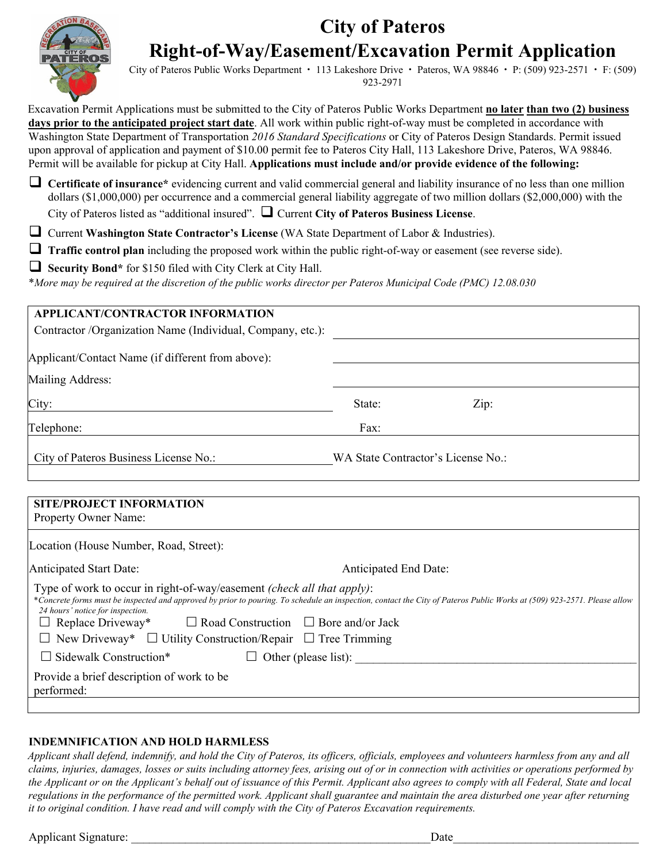## **City of Pateros Right-of-Way/Easement/Excavation Permit Application**



City of Pateros Public Works Department  $\cdot$  113 Lakeshore Drive  $\cdot$  Pateros, WA 98846  $\cdot$  P: (509) 923-2571  $\cdot$  F: (509) 923-2971

Excavation Permit Applications must be submitted to the City of Pateros Public Works Department **no later than two (2) business days prior to the anticipated project start date**. All work within public right-of-way must be completed in accordance with Washington State Department of Transportation *2016 Standard Specifications* or City of Pateros Design Standards. Permit issued upon approval of application and payment of \$10.00 permit fee to Pateros City Hall, 113 Lakeshore Drive, Pateros, WA 98846. Permit will be available for pickup at City Hall. **Applications must include and/or provide evidence of the following:**

 **Certificate of insurance\*** evidencing current and valid commercial general and liability insurance of no less than one million dollars (\$1,000,000) per occurrence and a commercial general liability aggregate of two million dollars (\$2,000,000) with the

City of Pateros listed as "additional insured". Current **City of Pateros Business License**.

Current **Washington State Contractor's License** (WA State Department of Labor & Industries).

**Traffic control plan** including the proposed work within the public right-of-way or easement (see reverse side).

**Security Bond\*** for \$150 filed with City Clerk at City Hall.

\**More may be required at the discretion of the public works director per Pateros Municipal Code (PMC) 12.08.030*

| <b>APPLICANT/CONTRACTOR INFORMATION</b>                                                                                                                                                                                                                                                                                                                                       |                       |                                    |
|-------------------------------------------------------------------------------------------------------------------------------------------------------------------------------------------------------------------------------------------------------------------------------------------------------------------------------------------------------------------------------|-----------------------|------------------------------------|
| Contractor /Organization Name (Individual, Company, etc.):                                                                                                                                                                                                                                                                                                                    |                       |                                    |
| Applicant/Contact Name (if different from above):                                                                                                                                                                                                                                                                                                                             |                       |                                    |
| Mailing Address:                                                                                                                                                                                                                                                                                                                                                              |                       |                                    |
| City:                                                                                                                                                                                                                                                                                                                                                                         | State:                | Zip:                               |
| Telephone:                                                                                                                                                                                                                                                                                                                                                                    | Fax:                  |                                    |
| City of Pateros Business License No.:                                                                                                                                                                                                                                                                                                                                         |                       | WA State Contractor's License No.: |
|                                                                                                                                                                                                                                                                                                                                                                               |                       |                                    |
| <b>SITE/PROJECT INFORMATION</b><br>Property Owner Name:                                                                                                                                                                                                                                                                                                                       |                       |                                    |
| Location (House Number, Road, Street):                                                                                                                                                                                                                                                                                                                                        |                       |                                    |
| <b>Anticipated Start Date:</b>                                                                                                                                                                                                                                                                                                                                                | Anticipated End Date: |                                    |
| Type of work to occur in right-of-way/easement <i>(check all that apply)</i> :<br>*Concrete forms must be inspected and approved by prior to pouring. To schedule an inspection, contact the City of Pateros Public Works at (509) 923-2571. Please allow<br>24 hours' notice for inspection.<br>$\Box$ Replace Driveway*<br>$\Box$ Road Construction $\Box$ Bore and/or Jack |                       |                                    |
| $\Box$ New Driveway* $\Box$ Utility Construction/Repair $\Box$ Tree Trimming                                                                                                                                                                                                                                                                                                  |                       |                                    |

## **INDEMNIFICATION AND HOLD HARMLESS**

Provide a brief description of work to be

 $\square$  Sidewalk Construction\*

*Applicant shall defend, indemnify, and hold the City of Pateros, its officers, officials, employees and volunteers harmless from any and all claims, injuries, damages, losses or suits including attorney fees, arising out of or in connection with activities or operations performed by the Applicant or on the Applicant's behalf out of issuance of this Permit. Applicant also agrees to comply with all Federal, State and local regulations in the performance of the permitted work. Applicant shall guarantee and maintain the area disturbed one year after returning it to original condition. I have read and will comply with the City of Pateros Excavation requirements.* 

 $\Box$  Other (please list):

Applicant Signature: \_\_\_\_\_\_\_\_\_\_\_\_\_\_\_\_\_\_\_\_\_\_\_\_\_\_\_\_\_\_\_\_\_\_\_\_\_\_\_\_\_\_\_\_\_\_\_\_\_\_Date\_\_\_\_\_\_\_\_\_\_\_\_\_\_\_\_\_\_\_\_\_\_\_\_\_\_\_\_\_\_\_

performed: